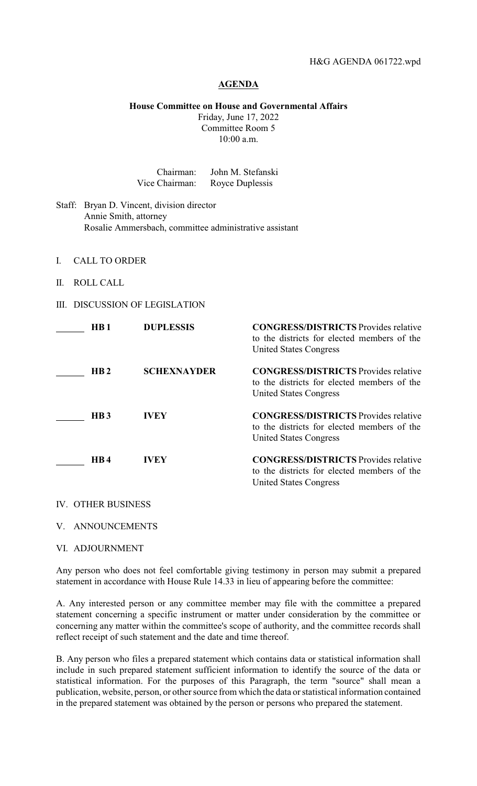## **AGENDA**

## **House Committee on House and Governmental Affairs**

Friday, June 17, 2022 Committee Room 5 10:00 a.m.

| Chairman:      | John M. Stefanski |
|----------------|-------------------|
| Vice Chairman: | Royce Duplessis   |

- Staff: Bryan D. Vincent, division director Annie Smith, attorney Rosalie Ammersbach, committee administrative assistant
- I. CALL TO ORDER
- II. ROLL CALL
- III. DISCUSSION OF LEGISLATION

| HB <sub>1</sub>  | <b>DUPLESSIS</b>   | <b>CONGRESS/DISTRICTS</b> Provides relative<br>to the districts for elected members of the<br><b>United States Congress</b> |
|------------------|--------------------|-----------------------------------------------------------------------------------------------------------------------------|
| HB <sub>2</sub>  | <b>SCHEXNAYDER</b> | <b>CONGRESS/DISTRICTS</b> Provides relative<br>to the districts for elected members of the<br><b>United States Congress</b> |
| H <sub>B</sub> 3 | IVEY               | <b>CONGRESS/DISTRICTS</b> Provides relative<br>to the districts for elected members of the<br><b>United States Congress</b> |
| HB4              | IVEY               | <b>CONGRESS/DISTRICTS</b> Provides relative<br>to the districts for elected members of the<br><b>United States Congress</b> |

## IV. OTHER BUSINESS

V. ANNOUNCEMENTS

VI. ADJOURNMENT

Any person who does not feel comfortable giving testimony in person may submit a prepared statement in accordance with House Rule 14.33 in lieu of appearing before the committee:

A. Any interested person or any committee member may file with the committee a prepared statement concerning a specific instrument or matter under consideration by the committee or concerning any matter within the committee's scope of authority, and the committee records shall reflect receipt of such statement and the date and time thereof.

B. Any person who files a prepared statement which contains data or statistical information shall include in such prepared statement sufficient information to identify the source of the data or statistical information. For the purposes of this Paragraph, the term "source" shall mean a publication, website, person, or other source from which the data or statistical information contained in the prepared statement was obtained by the person or persons who prepared the statement.